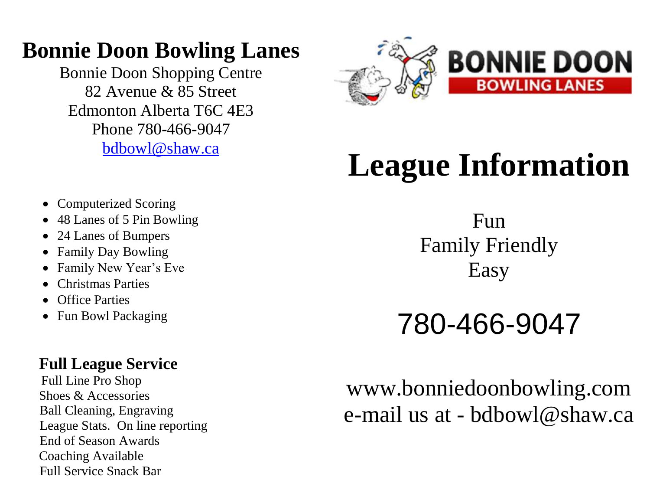# **Bonnie Doon Bowling Lanes**

Bonnie Doon Shopping Centre 82 Avenue & 85 Street Edmonton Alberta T6C 4E3 Phone 780-466-9047 [bdbowl@shaw.ca](mailto:bdbowl@shaw.ca)



# **League Information**

Fun Family Friendly Easy

780-466-9047

# www.bonniedoonbowling.com e-mail us at - bdbowl@shaw.ca

- Computerized Scoring
- 48 Lanes of 5 Pin Bowling
- 24 Lanes of Bumpers
- Family Day Bowling
- Family New Year's Eve
- Christmas Parties
- Office Parties
- Fun Bowl Packaging

## **Full League Service**

 Full Line Pro Shop Shoes & Accessories Ball Cleaning, Engraving League Stats. On line reporting End of Season Awards Coaching Available Full Service Snack Bar